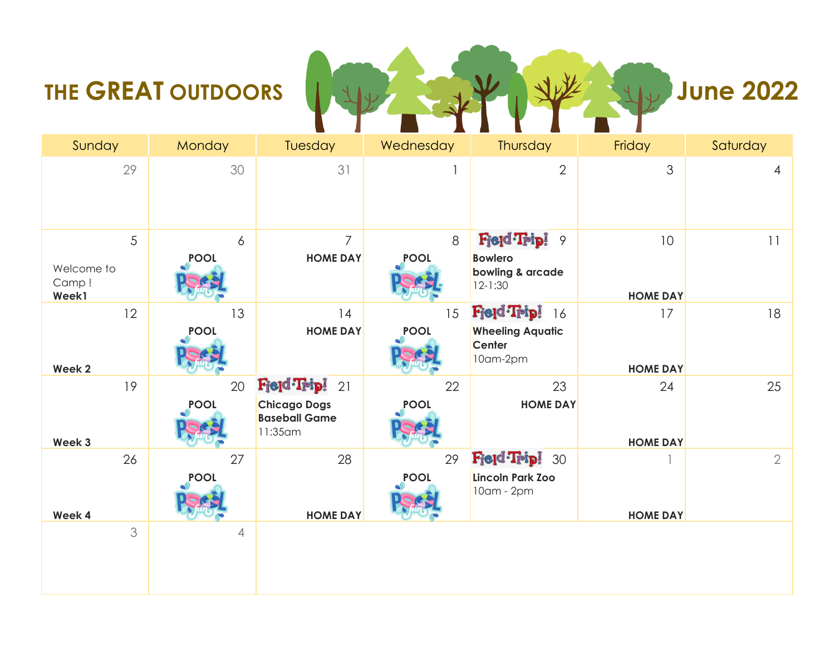

| Sunday                            | Monday                          | Tuesday                                                                   | Wednesday         | <b>Thursday</b>                                                                   | Friday                | Saturday       |
|-----------------------------------|---------------------------------|---------------------------------------------------------------------------|-------------------|-----------------------------------------------------------------------------------|-----------------------|----------------|
| 29                                | 30                              | 31                                                                        |                   | $\overline{2}$                                                                    | 3                     | $\overline{4}$ |
| 5<br>Welcome to<br>Camp!<br>Week1 | $\boldsymbol{6}$<br><b>POOL</b> | $\overline{7}$<br><b>HOME DAY</b>                                         | 8<br><b>POOL</b>  | Fjeld Trip!<br>$\mathcal{P}$<br><b>Bowlero</b><br>bowling & arcade<br>$12 - 1:30$ | 10<br><b>HOME DAY</b> | 11             |
| 12<br>Week <sub>2</sub>           | 13<br><b>POOL</b>               | 14<br><b>HOME DAY</b>                                                     | 15<br><b>POOL</b> | Fjeld Trip!<br>16<br><b>Wheeling Aquatic</b><br>Center<br>10am-2pm                | 17<br><b>HOME DAY</b> | 18             |
| 19<br>Week 3                      | 20<br><b>POOL</b>               | Fjeld Trip! 21<br><b>Chicago Dogs</b><br><b>Baseball Game</b><br>11:35 am | 22<br><b>POOL</b> | 23<br><b>HOME DAY</b>                                                             | 24<br><b>HOME DAY</b> | 25             |
| 26<br>Week 4                      | 27<br><b>POOL</b>               | 28<br><b>HOME DAY</b>                                                     | 29<br><b>POOL</b> | Fjeld Trip!<br>30<br><b>Lincoln Park Zoo</b><br>10am - 2pm                        | <b>HOME DAY</b>       | $\overline{2}$ |
| 3                                 | $\overline{4}$                  |                                                                           |                   |                                                                                   |                       |                |